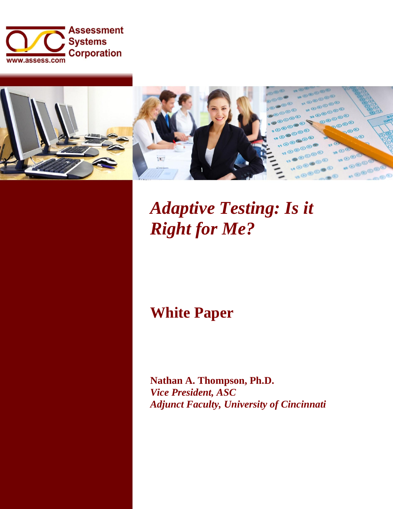



# *Adaptive Testing: Is it Right for Me?*

# **White Paper**

**Nathan A. Thompson, Ph.D.** *Vice President, ASC Adjunct Faculty, University of Cincinnati*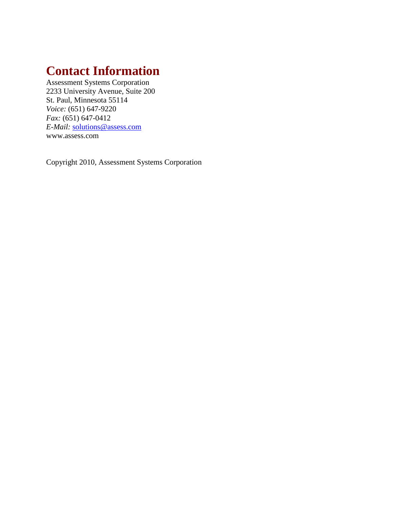## **Contact Information**

Assessment Systems Corporation 2233 University Avenue, Suite 200 St. Paul, Minnesota 55114 *Voice:* (651) 647-9220 *Fax:* (651) 647-0412 *E-Mail:* [solutions@assess.com](mailto:solutions@assess.com) www.assess.com

Copyright 2010, Assessment Systems Corporation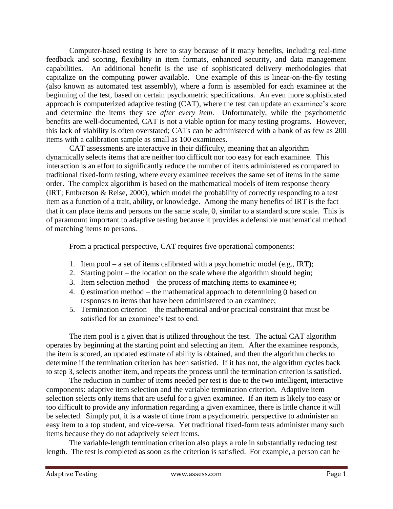Computer-based testing is here to stay because of it many benefits, including real-time feedback and scoring, flexibility in item formats, enhanced security, and data management capabilities. An additional benefit is the use of sophisticated delivery methodologies that capitalize on the computing power available. One example of this is linear-on-the-fly testing (also known as automated test assembly), where a form is assembled for each examinee at the beginning of the test, based on certain psychometric specifications. An even more sophisticated approach is computerized adaptive testing (CAT), where the test can update an examinee's score and determine the items they see *after every item*. Unfortunately, while the psychometric benefits are well-documented, CAT is not a viable option for many testing programs. However, this lack of viability is often overstated; CATs can be administered with a bank of as few as 200 items with a calibration sample as small as 100 examinees.

CAT assessments are interactive in their difficulty, meaning that an algorithm dynamically selects items that are neither too difficult nor too easy for each examinee. This interaction is an effort to significantly reduce the number of items administered as compared to traditional fixed-form testing, where every examinee receives the same set of items in the same order. The complex algorithm is based on the mathematical models of item response theory (IRT; Embretson & Reise, 2000), which model the probability of correctly responding to a test item as a function of a trait, ability, or knowledge. Among the many benefits of IRT is the fact that it can place items and persons on the same scale,  $\theta$ , similar to a standard score scale. This is of paramount important to adaptive testing because it provides a defensible mathematical method of matching items to persons.

From a practical perspective, CAT requires five operational components:

- 1. Item pool a set of items calibrated with a psychometric model (e.g., IRT);
- 2. Starting point the location on the scale where the algorithm should begin;
- 3. Item selection method the process of matching items to examinee  $\theta$ ;
- 4.  $\theta$  estimation method the mathematical approach to determining  $\theta$  based on responses to items that have been administered to an examinee;
- 5. Termination criterion the mathematical and/or practical constraint that must be satisfied for an examinee's test to end.

The item pool is a given that is utilized throughout the test. The actual CAT algorithm operates by beginning at the starting point and selecting an item. After the examinee responds, the item is scored, an updated estimate of ability is obtained, and then the algorithm checks to determine if the termination criterion has been satisfied. If it has not, the algorithm cycles back to step 3, selects another item, and repeats the process until the termination criterion is satisfied.

The reduction in number of items needed per test is due to the two intelligent, interactive components: adaptive item selection and the variable termination criterion. Adaptive item selection selects only items that are useful for a given examinee. If an item is likely too easy or too difficult to provide any information regarding a given examinee, there is little chance it will be selected. Simply put, it is a waste of time from a psychometric perspective to administer an easy item to a top student, and vice-versa. Yet traditional fixed-form tests administer many such items because they do not adaptively select items.

The variable-length termination criterion also plays a role in substantially reducing test length. The test is completed as soon as the criterion is satisfied. For example, a person can be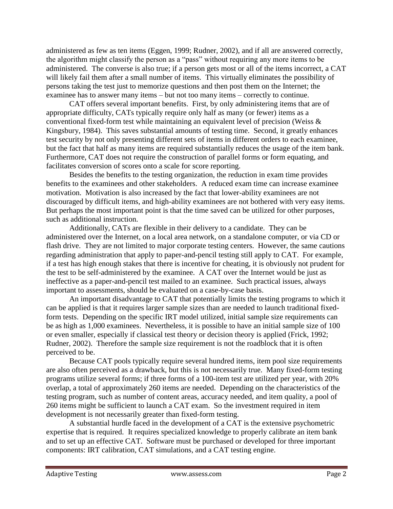administered as few as ten items (Eggen, 1999; Rudner, 2002), and if all are answered correctly, the algorithm might classify the person as a "pass" without requiring any more items to be administered. The converse is also true; if a person gets most or all of the items incorrect, a CAT will likely fail them after a small number of items. This virtually eliminates the possibility of persons taking the test just to memorize questions and then post them on the Internet; the examinee has to answer many items – but not too many items – correctly to continue.

CAT offers several important benefits. First, by only administering items that are of appropriate difficulty, CATs typically require only half as many (or fewer) items as a conventional fixed-form test while maintaining an equivalent level of precision (Weiss & Kingsbury, 1984). This saves substantial amounts of testing time. Second, it greatly enhances test security by not only presenting different sets of items in different orders to each examinee, but the fact that half as many items are required substantially reduces the usage of the item bank. Furthermore, CAT does not require the construction of parallel forms or form equating, and facilitates conversion of scores onto a scale for score reporting.

Besides the benefits to the testing organization, the reduction in exam time provides benefits to the examinees and other stakeholders. A reduced exam time can increase examinee motivation. Motivation is also increased by the fact that lower-ability examinees are not discouraged by difficult items, and high-ability examinees are not bothered with very easy items. But perhaps the most important point is that the time saved can be utilized for other purposes, such as additional instruction.

Additionally, CATs are flexible in their delivery to a candidate. They can be administered over the Internet, on a local area network, on a standalone computer, or via CD or flash drive. They are not limited to major corporate testing centers. However, the same cautions regarding administration that apply to paper-and-pencil testing still apply to CAT. For example, if a test has high enough stakes that there is incentive for cheating, it is obviously not prudent for the test to be self-administered by the examinee. A CAT over the Internet would be just as ineffective as a paper-and-pencil test mailed to an examinee. Such practical issues, always important to assessments, should be evaluated on a case-by-case basis.

An important disadvantage to CAT that potentially limits the testing programs to which it can be applied is that it requires larger sample sizes than are needed to launch traditional fixedform tests. Depending on the specific IRT model utilized, initial sample size requirements can be as high as 1,000 examinees. Nevertheless, it is possible to have an initial sample size of 100 or even smaller, especially if classical test theory or decision theory is applied (Frick, 1992; Rudner, 2002). Therefore the sample size requirement is not the roadblock that it is often perceived to be.

Because CAT pools typically require several hundred items, item pool size requirements are also often perceived as a drawback, but this is not necessarily true. Many fixed-form testing programs utilize several forms; if three forms of a 100-item test are utilized per year, with 20% overlap, a total of approximately 260 items are needed. Depending on the characteristics of the testing program, such as number of content areas, accuracy needed, and item quality, a pool of 260 items might be sufficient to launch a CAT exam. So the investment required in item development is not necessarily greater than fixed-form testing.

A substantial hurdle faced in the development of a CAT is the extensive psychometric expertise that is required. It requires specialized knowledge to properly calibrate an item bank and to set up an effective CAT. Software must be purchased or developed for three important components: IRT calibration, CAT simulations, and a CAT testing engine.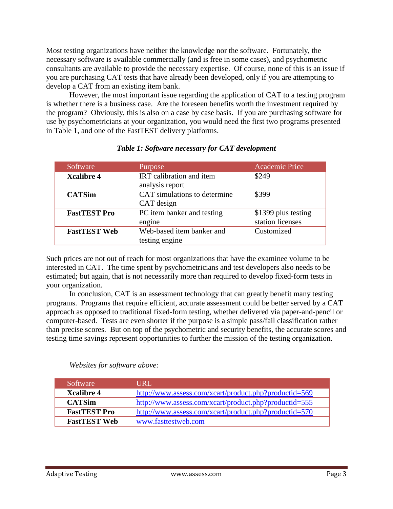Most testing organizations have neither the knowledge nor the software. Fortunately, the necessary software is available commercially (and is free in some cases), and psychometric consultants are available to provide the necessary expertise. Of course, none of this is an issue if you are purchasing CAT tests that have already been developed, only if you are attempting to develop a CAT from an existing item bank.

However, the most important issue regarding the application of CAT to a testing program is whether there is a business case. Are the foreseen benefits worth the investment required by the program? Obviously, this is also on a case by case basis. If you are purchasing software for use by psychometricians at your organization, you would need the first two programs presented in Table 1, and one of the FastTEST delivery platforms.

| Software            | Purpose                      | <b>Academic Price</b> |
|---------------------|------------------------------|-----------------------|
| <b>Xcalibre 4</b>   | IRT calibration and item     | \$249                 |
|                     | analysis report              |                       |
| <b>CATSim</b>       | CAT simulations to determine | \$399                 |
|                     | CAT design                   |                       |
| <b>FastTEST Pro</b> | PC item banker and testing   | \$1399 plus testing   |
|                     | engine                       | station licenses      |
| <b>FastTEST Web</b> | Web-based item banker and    | Customized            |
|                     | testing engine               |                       |

### *Table 1: Software necessary for CAT development*

Such prices are not out of reach for most organizations that have the examinee volume to be interested in CAT. The time spent by psychometricians and test developers also needs to be estimated; but again, that is not necessarily more than required to develop fixed-form tests in your organization.

In conclusion, CAT is an assessment technology that can greatly benefit many testing programs. Programs that require efficient, accurate assessment could be better served by a CAT approach as opposed to traditional fixed-form testing, whether delivered via paper-and-pencil or computer-based. Tests are even shorter if the purpose is a simple pass/fail classification rather than precise scores. But on top of the psychometric and security benefits, the accurate scores and testing time savings represent opportunities to further the mission of the testing organization.

### *Websites for software above:*

| Software            | URL                                                   |
|---------------------|-------------------------------------------------------|
| <b>Xcalibre 4</b>   | http://www.assess.com/xcart/product.php?productid=569 |
| <b>CATSim</b>       | http://www.assess.com/xcart/product.php?productid=555 |
| <b>FastTEST Pro</b> | http://www.assess.com/xcart/product.php?productid=570 |
| <b>FastTEST Web</b> | www.fasttestweb.com                                   |